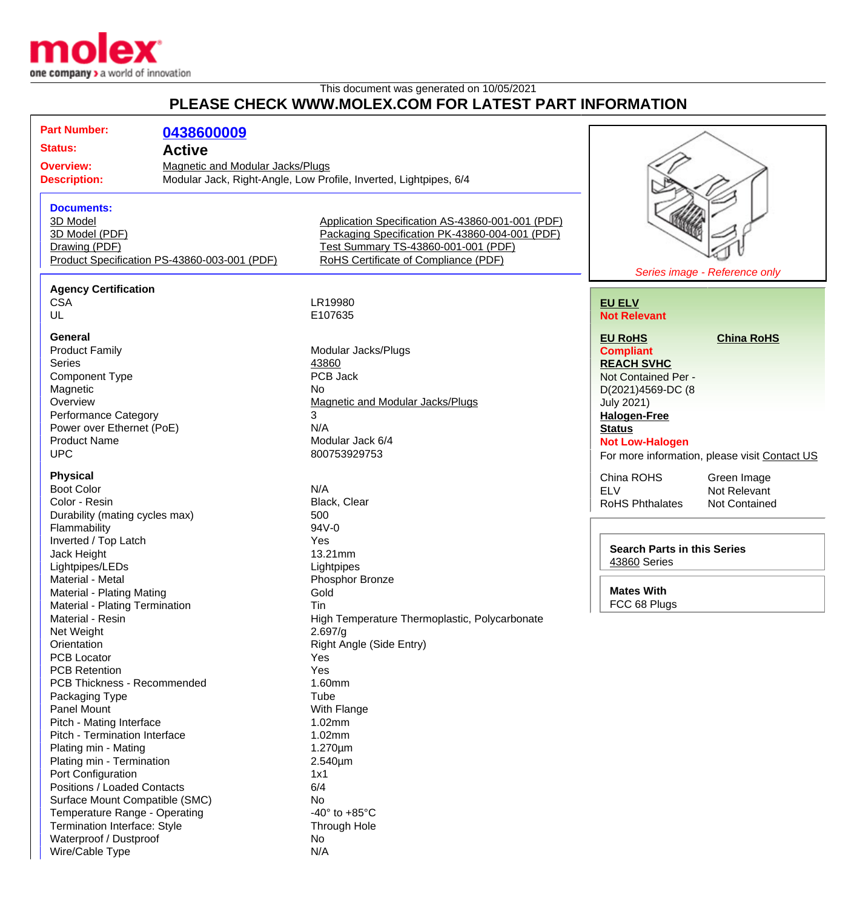

Wire/Cable Type N/A

## This document was generated on 10/05/2021 **PLEASE CHECK WWW.MOLEX.COM FOR LATEST PART INFORMATION**

| <b>Part Number:</b>                                         | 0438600009    |                                                                                                    |                                    |                                               |
|-------------------------------------------------------------|---------------|----------------------------------------------------------------------------------------------------|------------------------------------|-----------------------------------------------|
| <b>Status:</b>                                              | <b>Active</b> |                                                                                                    |                                    |                                               |
|                                                             |               |                                                                                                    |                                    |                                               |
| <b>Overview:</b><br><b>Magnetic and Modular Jacks/Plugs</b> |               | Modular Jack, Right-Angle, Low Profile, Inverted, Lightpipes, 6/4                                  |                                    |                                               |
| <b>Description:</b>                                         |               |                                                                                                    |                                    |                                               |
|                                                             |               |                                                                                                    |                                    |                                               |
| <b>Documents:</b>                                           |               |                                                                                                    |                                    |                                               |
| 3D Model                                                    |               | Application Specification AS-43860-001-001 (PDF)<br>Packaging Specification PK-43860-004-001 (PDF) |                                    |                                               |
| 3D Model (PDF)<br>Drawing (PDF)                             |               | Test Summary TS-43860-001-001 (PDF)                                                                |                                    |                                               |
| Product Specification PS-43860-003-001 (PDF)                |               | RoHS Certificate of Compliance (PDF)                                                               |                                    |                                               |
|                                                             |               |                                                                                                    |                                    | Series image - Reference only                 |
|                                                             |               |                                                                                                    |                                    |                                               |
| <b>Agency Certification</b><br><b>CSA</b>                   |               | LR19980                                                                                            | <b>EU ELV</b>                      |                                               |
| UL                                                          |               | E107635                                                                                            | <b>Not Relevant</b>                |                                               |
|                                                             |               |                                                                                                    |                                    |                                               |
| <b>General</b>                                              |               |                                                                                                    | <b>EU RoHS</b>                     | <b>China RoHS</b>                             |
| <b>Product Family</b>                                       |               | Modular Jacks/Plugs                                                                                | <b>Compliant</b>                   |                                               |
| <b>Series</b>                                               |               | 43860                                                                                              | <b>REACH SVHC</b>                  |                                               |
| <b>Component Type</b>                                       |               | PCB Jack                                                                                           | Not Contained Per -                |                                               |
| Magnetic                                                    |               | No                                                                                                 | D(2021)4569-DC (8                  |                                               |
| Overview                                                    |               | Magnetic and Modular Jacks/Plugs                                                                   | <b>July 2021)</b>                  |                                               |
| <b>Performance Category</b>                                 |               | 3                                                                                                  | <b>Halogen-Free</b>                |                                               |
| Power over Ethernet (PoE)                                   |               | N/A                                                                                                | <b>Status</b>                      |                                               |
| <b>Product Name</b>                                         |               | Modular Jack 6/4                                                                                   | <b>Not Low-Halogen</b>             |                                               |
| <b>UPC</b>                                                  |               | 800753929753                                                                                       |                                    | For more information, please visit Contact US |
| <b>Physical</b>                                             |               |                                                                                                    | China ROHS                         |                                               |
| <b>Boot Color</b>                                           |               | N/A                                                                                                | <b>ELV</b>                         | Green Image<br>Not Relevant                   |
| Color - Resin                                               |               | Black, Clear                                                                                       | <b>RoHS Phthalates</b>             | Not Contained                                 |
| Durability (mating cycles max)                              |               | 500                                                                                                |                                    |                                               |
| Flammability                                                |               | 94V-0                                                                                              |                                    |                                               |
| Inverted / Top Latch                                        |               | Yes                                                                                                |                                    |                                               |
| Jack Height                                                 |               | 13.21mm                                                                                            | <b>Search Parts in this Series</b> |                                               |
| Lightpipes/LEDs                                             |               | Lightpipes                                                                                         | 43860 Series                       |                                               |
| Material - Metal                                            |               | Phosphor Bronze                                                                                    |                                    |                                               |
| Material - Plating Mating                                   |               | <b>Mates With</b><br>Gold                                                                          |                                    |                                               |
| Material - Plating Termination                              |               | Tin                                                                                                | FCC 68 Plugs                       |                                               |
| Material - Resin                                            |               | High Temperature Thermoplastic, Polycarbonate                                                      |                                    |                                               |
| Net Weight                                                  |               | 2.697/g                                                                                            |                                    |                                               |
| Orientation                                                 |               | Right Angle (Side Entry)                                                                           |                                    |                                               |
| <b>PCB Locator</b>                                          |               | Yes                                                                                                |                                    |                                               |
| <b>PCB Retention</b>                                        |               | Yes                                                                                                |                                    |                                               |
| PCB Thickness - Recommended                                 |               | 1.60mm                                                                                             |                                    |                                               |
| Packaging Type                                              |               | Tube                                                                                               |                                    |                                               |
| Panel Mount                                                 |               | With Flange                                                                                        |                                    |                                               |
| Pitch - Mating Interface                                    |               | 1.02mm                                                                                             |                                    |                                               |
| Pitch - Termination Interface                               |               | 1.02mm                                                                                             |                                    |                                               |
| Plating min - Mating                                        |               | $1.270 \mu m$                                                                                      |                                    |                                               |
| Plating min - Termination                                   |               | $2.540 \mu m$                                                                                      |                                    |                                               |
| Port Configuration<br>Positions / Loaded Contacts           |               | 1x1<br>6/4                                                                                         |                                    |                                               |
| Surface Mount Compatible (SMC)                              |               | No                                                                                                 |                                    |                                               |
| Temperature Range - Operating                               |               | -40 $\degree$ to +85 $\degree$ C                                                                   |                                    |                                               |
| Termination Interface: Style                                |               | Through Hole                                                                                       |                                    |                                               |
| Waterproof / Dustproof                                      |               | No                                                                                                 |                                    |                                               |
|                                                             |               |                                                                                                    |                                    |                                               |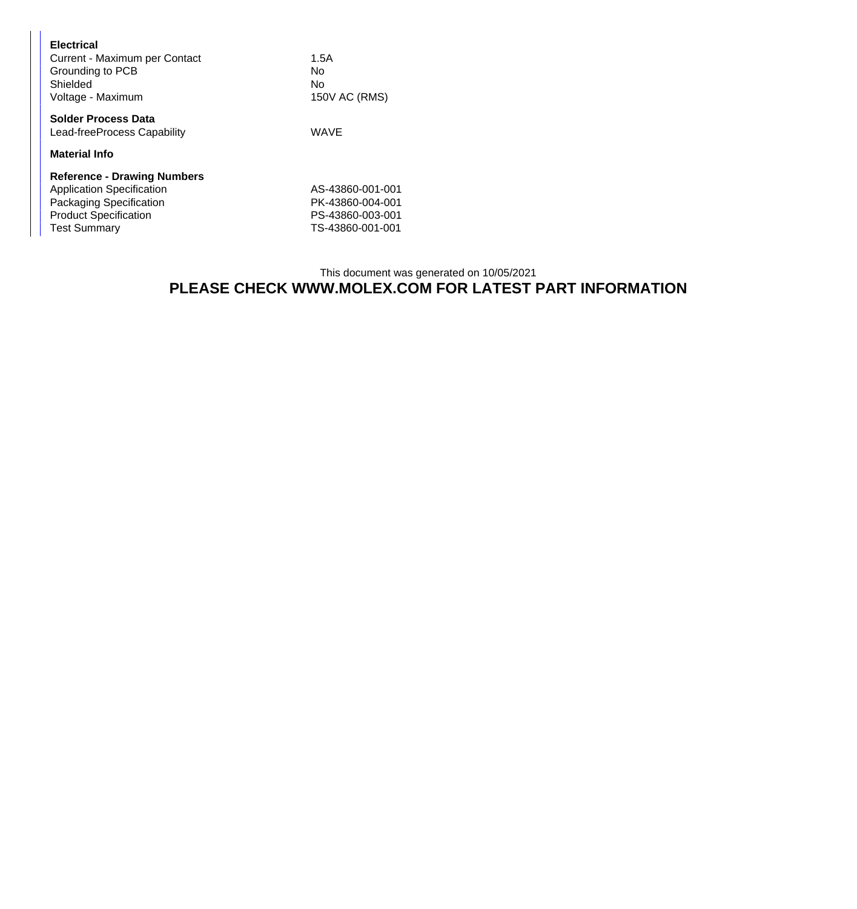| <b>Electrical</b><br>Current - Maximum per Contact<br>Grounding to PCB<br>Shielded<br>Voltage - Maximum                                                  | 1.5A<br>Nο<br>No<br>150V AC (RMS)                                            |
|----------------------------------------------------------------------------------------------------------------------------------------------------------|------------------------------------------------------------------------------|
| <b>Solder Process Data</b><br>Lead-freeProcess Capability                                                                                                | <b>WAVE</b>                                                                  |
| <b>Material Info</b>                                                                                                                                     |                                                                              |
| <b>Reference - Drawing Numbers</b><br><b>Application Specification</b><br>Packaging Specification<br><b>Product Specification</b><br><b>Test Summary</b> | AS-43860-001-001<br>PK-43860-004-001<br>PS-43860-003-001<br>TS-43860-001-001 |

## This document was generated on 10/05/2021 **PLEASE CHECK WWW.MOLEX.COM FOR LATEST PART INFORMATION**